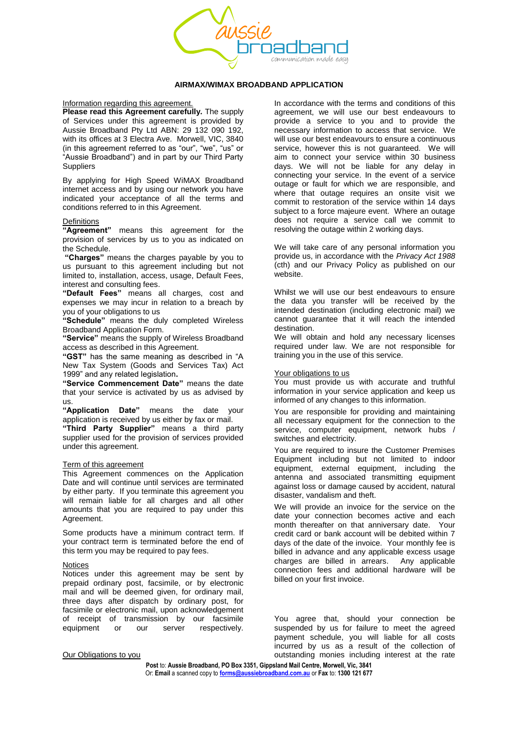

## **AIRMAX/WIMAX BROADBAND APPLICATION**

Information regarding this agreement.

**Please read this Agreement carefully.** The supply of Services under this agreement is provided by Aussie Broadband Pty Ltd ABN: 29 132 090 192, with its offices at 3 Electra Ave. Morwell, VIC, 3840 (in this agreement referred to as "our", "we", "us" or "Aussie Broadband") and in part by our Third Party **Suppliers** 

By applying for High Speed WiMAX Broadband internet access and by using our network you have indicated your acceptance of all the terms and conditions referred to in this Agreement.

#### **Definitions**

**"Agreement"** means this agreement for the provision of services by us to you as indicated on the Schedule.

**"Charges"** means the charges payable by you to us pursuant to this agreement including but not limited to, installation, access, usage, Default Fees, interest and consulting fees.

**"Default Fees"** means all charges, cost and expenses we may incur in relation to a breach by you of your obligations to us

**"Schedule"** means the duly completed Wireless Broadband Application Form.

**"Service"** means the supply of Wireless Broadband access as described in this Agreement.

**"GST"** has the same meaning as described in "A New Tax System (Goods and Services Tax) Act 1999" and any related legislation**.**

**"Service Commencement Date"** means the date that your service is activated by us as advised by us.

**"Application Date"** means the date your application is received by us either by fax or mail.

**"Third Party Supplier"** means a third party supplier used for the provision of services provided under this agreement.

### Term of this agreement

This Agreement commences on the Application Date and will continue until services are terminated by either party. If you terminate this agreement you will remain liable for all charges and all other amounts that you are required to pay under this Agreement.

Some products have a minimum contract term. If your contract term is terminated before the end of this term you may be required to pay fees.

#### **Notices**

Notices under this agreement may be sent by prepaid ordinary post, facsimile, or by electronic mail and will be deemed given, for ordinary mail, three days after dispatch by ordinary post, for facsimile or electronic mail, upon acknowledgement of receipt of transmission by our facsimile equipment or our server respectively.

In accordance with the terms and conditions of this agreement, we will use our best endeavours to provide a service to you and to provide the necessary information to access that service. We will use our best endeavours to ensure a continuous service, however this is not guaranteed. We will aim to connect your service within 30 business days. We will not be liable for any delay in connecting your service. In the event of a service outage or fault for which we are responsible, and where that outage requires an onsite visit we commit to restoration of the service within 14 days subject to a force majeure event. Where an outage does not require a service call we commit to resolving the outage within 2 working days.

We will take care of any personal information you provide us, in accordance with the *Privacy Act 1988* (cth) and our Privacy Policy as published on our website.

Whilst we will use our best endeavours to ensure the data you transfer will be received by the intended destination (including electronic mail) we cannot guarantee that it will reach the intended destination.

We will obtain and hold any necessary licenses required under law. We are not responsible for training you in the use of this service.

#### Your obligations to us

You must provide us with accurate and truthful information in your service application and keep us informed of any changes to this information.

You are responsible for providing and maintaining all necessary equipment for the connection to the service, computer equipment, network hubs / switches and electricity.

You are required to insure the Customer Premises Equipment including but not limited to indoor equipment, external equipment, including the antenna and associated transmitting equipment against loss or damage caused by accident, natural disaster, vandalism and theft.

We will provide an invoice for the service on the date your connection becomes active and each month thereafter on that anniversary date. Your credit card or bank account will be debited within 7 days of the date of the invoice. Your monthly fee is billed in advance and any applicable excess usage charges are billed in arrears. Any applicable connection fees and additional hardware will be billed on your first invoice.

You agree that, should your connection be suspended by us for failure to meet the agreed payment schedule, you will liable for all costs incurred by us as a result of the collection of outstanding monies including interest at the rate

Our Obligations to you

**Post** to: **Aussie Broadband, PO Box 3351, Gippsland Mail Centre, Morwell, Vic, 3841**

Or: **Email** a scanned copy to **[forms@aussiebroadband.com.au](mailto:forms@aussiebroadband.com.au)** or **Fax** to: **1300 121 677**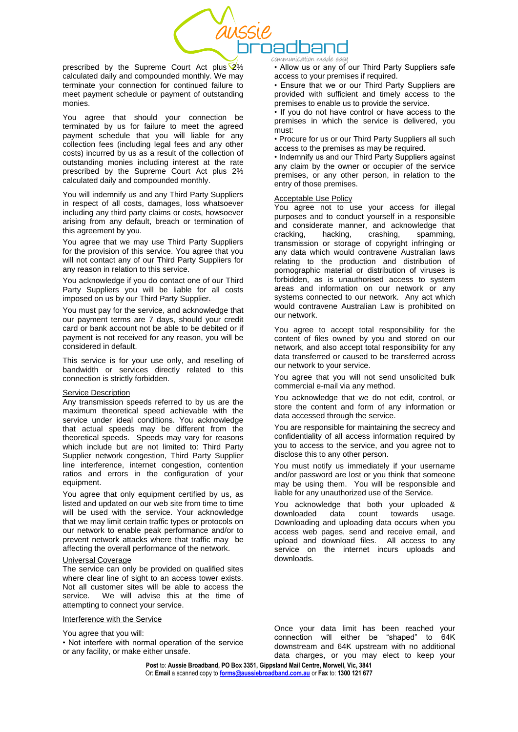

prescribed by the Supreme Court Act plus 2% calculated daily and compounded monthly. We may terminate your connection for continued failure to meet payment schedule or payment of outstanding monies.

You agree that should your connection be terminated by us for failure to meet the agreed payment schedule that you will liable for any collection fees (including legal fees and any other costs) incurred by us as a result of the collection of outstanding monies including interest at the rate prescribed by the Supreme Court Act plus 2% calculated daily and compounded monthly.

You will indemnify us and any Third Party Suppliers in respect of all costs, damages, loss whatsoever including any third party claims or costs, howsoever arising from any default, breach or termination of this agreement by you.

You agree that we may use Third Party Suppliers for the provision of this service. You agree that you will not contact any of our Third Party Suppliers for any reason in relation to this service.

You acknowledge if you do contact one of our Third Party Suppliers you will be liable for all costs imposed on us by our Third Party Supplier.

You must pay for the service, and acknowledge that our payment terms are 7 days, should your credit card or bank account not be able to be debited or if payment is not received for any reason, you will be considered in default.

This service is for your use only, and reselling of bandwidth or services directly related to this connection is strictly forbidden.

# Service Description

Any transmission speeds referred to by us are the maximum theoretical speed achievable with the service under ideal conditions. You acknowledge that actual speeds may be different from the theoretical speeds. Speeds may vary for reasons which include but are not limited to: Third Party Supplier network congestion, Third Party Supplier line interference, internet congestion, contention ratios and errors in the configuration of your equipment.

You agree that only equipment certified by us, as listed and updated on our web site from time to time will be used with the service. Your acknowledge that we may limit certain traffic types or protocols on our network to enable peak performance and/or to prevent network attacks where that traffic may be affecting the overall performance of the network.

#### Universal Coverage

The service can only be provided on qualified sites where clear line of sight to an access tower exists. Not all customer sites will be able to access the service. We will advise this at the time of We will advise this at the time of attempting to connect your service.

#### Interference with the Service

You agree that you will:

• Not interfere with normal operation of the service or any facility, or make either unsafe.

communication made eas

• Allow us or any of our Third Party Suppliers safe access to your premises if required.

• Ensure that we or our Third Party Suppliers are provided with sufficient and timely access to the premises to enable us to provide the service.

• If you do not have control or have access to the premises in which the service is delivered, you must:

• Procure for us or our Third Party Suppliers all such access to the premises as may be required.

• Indemnify us and our Third Party Suppliers against any claim by the owner or occupier of the service premises, or any other person, in relation to the entry of those premises.

# Acceptable Use Policy

You agree not to use your access for illegal purposes and to conduct yourself in a responsible and considerate manner, and acknowledge that cracking, hacking, crashing, spamming, transmission or storage of copyright infringing or any data which would contravene Australian laws relating to the production and distribution of pornographic material or distribution of viruses is forbidden, as is unauthorised access to system areas and information on our network or any systems connected to our network. Any act which would contravene Australian Law is prohibited on our network.

You agree to accept total responsibility for the content of files owned by you and stored on our network, and also accept total responsibility for any data transferred or caused to be transferred across our network to your service.

You agree that you will not send unsolicited bulk commercial e-mail via any method.

You acknowledge that we do not edit, control, or store the content and form of any information or data accessed through the service.

You are responsible for maintaining the secrecy and confidentiality of all access information required by you to access to the service, and you agree not to disclose this to any other person.

You must notify us immediately if your username and/or password are lost or you think that someone may be using them. You will be responsible and liable for any unauthorized use of the Service.

You acknowledge that both your uploaded & downloaded data count towards usage. Downloading and uploading data occurs when you access web pages, send and receive email, and upload and download files. All access to any service on the internet incurs uploads and downloads.

Once your data limit has been reached your connection will either be "shaped" to 64K downstream and 64K upstream with no additional data charges, or you may elect to keep your

**Post** to: **Aussie Broadband, PO Box 3351, Gippsland Mail Centre, Morwell, Vic, 3841** Or: **Email** a scanned copy to **[forms@aussiebroadband.com.au](mailto:forms@aussiebroadband.com.au)** or **Fax** to: **1300 121 677**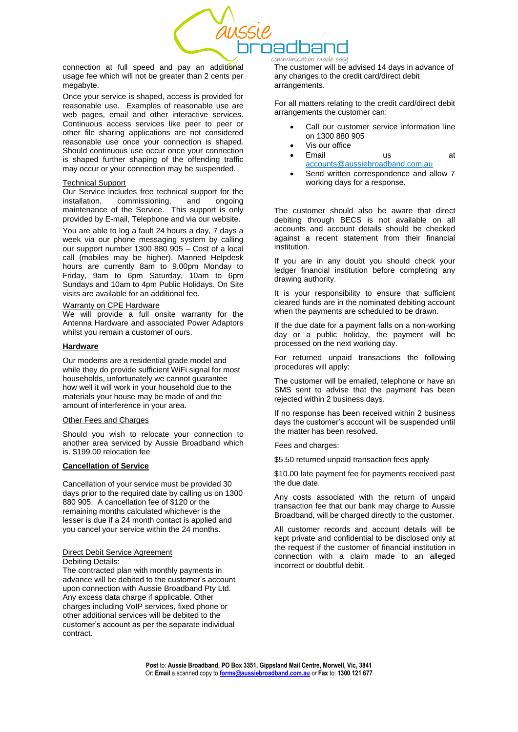

connection at full speed and pay an additional usage fee which will not be greater than 2 cents per megabyte.

Once your service is shaped, access is provided for reasonable use. Examples of reasonable use are web pages, email and other interactive services. Continuous access services like peer to peer or other file sharing applications are not considered reasonable use once your connection is shaped. Should continuous use occur once your connection is shaped further shaping of the offending traffic may occur or your connection may be suspended.

## Technical Support

Our Service includes free technical support for the installation, commissioning, and ongoing maintenance of the Service. This support is only provided by E-mail, Telephone and via our website.

You are able to log a fault 24 hours a day, 7 days a week via our phone messaging system by calling our support number 1300 880 905 – Cost of a local call (mobiles may be higher). Manned Helpdesk hours are currently 8am to 9.00pm Monday to Friday, 9am to 6pm Saturday, 10am to 6pm Sundays and 10am to 4pm Public Holidays. On Site visits are available for an additional fee.

## Warranty on CPE Hardware

We will provide a full onsite warranty for the Antenna Hardware and associated Power Adaptors whilst you remain a customer of ours.

# **Hardware**

Our modems are a residential grade model and while they do provide sufficient WiFi signal for most households, unfortunately we cannot guarantee how well it will work in your household due to the materials your house may be made of and the amount of interference in your area.

### Other Fees and Charges

Should you wish to relocate your connection to another area serviced by Aussie Broadband which is. \$199.00 relocation fee

# **Cancellation of Service**

Cancellation of your service must be provided 30 days prior to the required date by calling us on 1300 880 905. A cancellation fee of \$120 or the remaining months calculated whichever is the lesser is due if a 24 month contact is applied and you cancel your service within the 24 months.

## Direct Debit Service Agreement Debiting Details:

The contracted plan with monthly payments in advance will be debited to the customer's account upon connection with Aussie Broadband Pty Ltd. Any excess data charge if applicable. Other charges including VoIP services, fixed phone or other additional services will be debited to the customer's account as per the separate individual contract.

communication made ease

The customer will be advised 14 days in advance of any changes to the credit card/direct debit arrangements.

For all matters relating to the credit card/direct debit arrangements the customer can:

- Call our customer service information line on 1300 880 905
- Vis our office
- Email us at [accounts@aussiebroadband.com.au](mailto:accounts@aussiebroadband.com.au)
- Send written correspondence and allow 7 working days for a response.

The customer should also be aware that direct debiting through BECS is not available on all accounts and account details should be checked against a recent statement from their financial institution.

If you are in any doubt you should check your ledger financial institution before completing any drawing authority.

It is your responsibility to ensure that sufficient cleared funds are in the nominated debiting account when the payments are scheduled to be drawn.

If the due date for a payment falls on a non-working day or a public holiday, the payment will be processed on the next working day.

For returned unpaid transactions the following procedures will apply:

The customer will be emailed, telephone or have an SMS sent to advise that the payment has been rejected within 2 business days.

If no response has been received within 2 business days the customer's account will be suspended until the matter has been resolved.

Fees and charges:

\$5.50 returned unpaid transaction fees apply

\$10.00 late payment fee for payments received past the due date.

Any costs associated with the return of unpaid transaction fee that our bank may charge to Aussie Broadband, will be charged directly to the customer.

All customer records and account details will be kept private and confidential to be disclosed only at the request if the customer of financial institution in connection with a claim made to an alleged incorrect or doubtful debit.